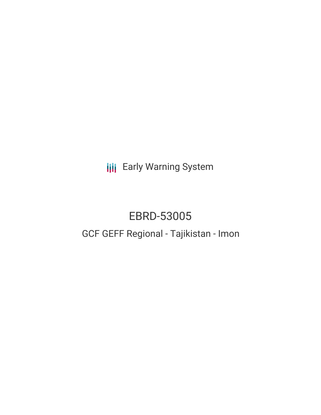**III** Early Warning System

# EBRD-53005 GCF GEFF Regional - Tajikistan - Imon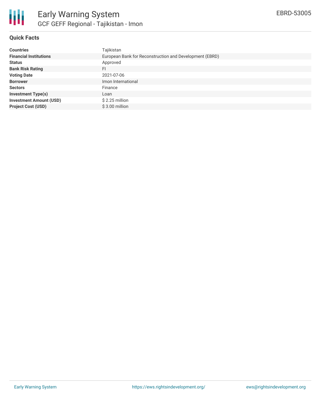

# **Quick Facts**

| <b>Countries</b>               | Tajikistan                                              |
|--------------------------------|---------------------------------------------------------|
| <b>Financial Institutions</b>  | European Bank for Reconstruction and Development (EBRD) |
| <b>Status</b>                  | Approved                                                |
| <b>Bank Risk Rating</b>        | FI                                                      |
| <b>Voting Date</b>             | 2021-07-06                                              |
| <b>Borrower</b>                | Imon International                                      |
| <b>Sectors</b>                 | Finance                                                 |
| <b>Investment Type(s)</b>      | Loan                                                    |
| <b>Investment Amount (USD)</b> | $$2.25$ million                                         |
| <b>Project Cost (USD)</b>      | $$3.00$ million                                         |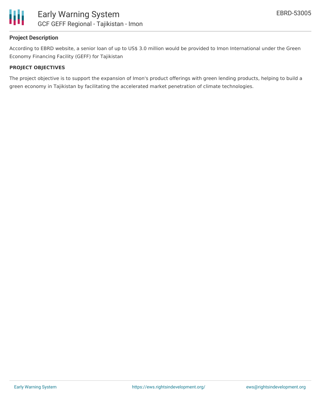

# **Project Description**

According to EBRD website, a senior loan of up to US\$ 3.0 million would be provided to Imon International under the Green Economy Financing Facility (GEFF) for Tajikistan

### **PROJECT OBJECTIVES**

The project objective is to support the expansion of Imon's product offerings with green lending products, helping to build a green economy in Tajikistan by facilitating the accelerated market penetration of climate technologies.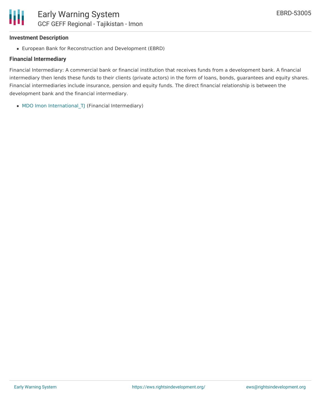## **Investment Description**

European Bank for Reconstruction and Development (EBRD)

### **Financial Intermediary**

Financial Intermediary: A commercial bank or financial institution that receives funds from a development bank. A financial intermediary then lends these funds to their clients (private actors) in the form of loans, bonds, guarantees and equity shares. Financial intermediaries include insurance, pension and equity funds. The direct financial relationship is between the development bank and the financial intermediary.

• MDO Imon [International\\_TJ](file:///actor/3610/) (Financial Intermediary)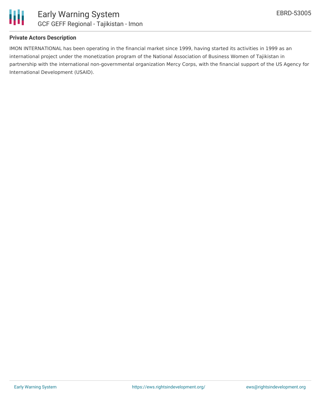

# **Private Actors Description**

IMON INTERNATIONAL has been operating in the financial market since 1999, having started its activities in 1999 as an international project under the monetization program of the National Association of Business Women of Tajikistan in partnership with the international non-governmental organization Mercy Corps, with the financial support of the US Agency for International Development (USAID).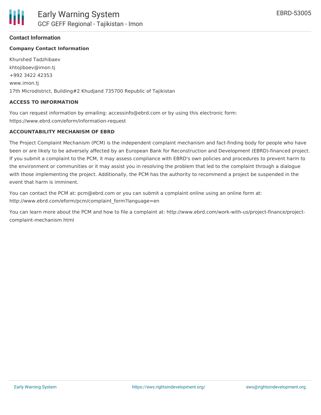### **Contact Information**

### **Company Contact Information**

Khurshed Tadzhibaev khtojiboev@imon.tj +992 3422 42353 www.imon.tj 17th Microdistrict, Building#2 Khudjand 735700 Republic of Tajikistan

#### **ACCESS TO INFORMATION**

You can request information by emailing: accessinfo@ebrd.com or by using this electronic form: https://www.ebrd.com/eform/information-request

#### **ACCOUNTABILITY MECHANISM OF EBRD**

The Project Complaint Mechanism (PCM) is the independent complaint mechanism and fact-finding body for people who have been or are likely to be adversely affected by an European Bank for Reconstruction and Development (EBRD)-financed project. If you submit a complaint to the PCM, it may assess compliance with EBRD's own policies and procedures to prevent harm to the environment or communities or it may assist you in resolving the problem that led to the complaint through a dialogue with those implementing the project. Additionally, the PCM has the authority to recommend a project be suspended in the event that harm is imminent.

You can contact the PCM at: pcm@ebrd.com or you can submit a complaint online using an online form at: http://www.ebrd.com/eform/pcm/complaint\_form?language=en

You can learn more about the PCM and how to file a complaint at: http://www.ebrd.com/work-with-us/project-finance/projectcomplaint-mechanism.html